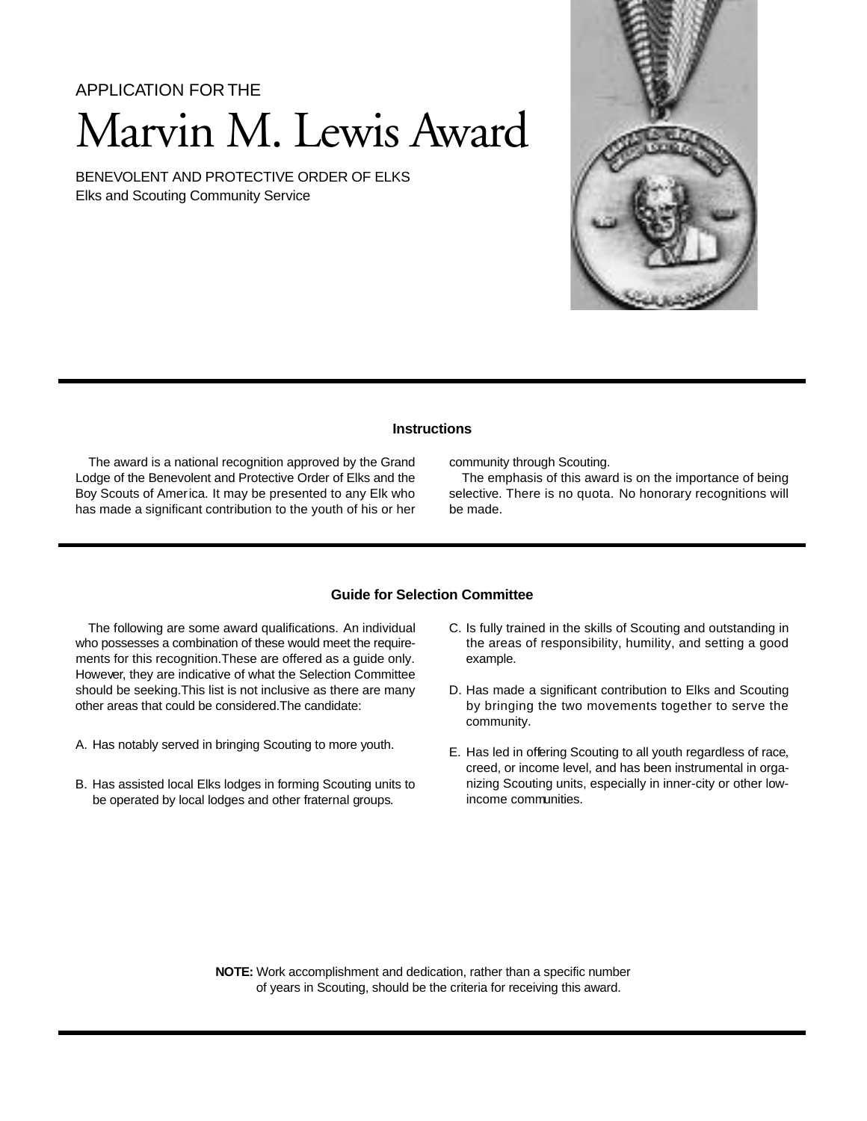A PPI ICATION FOR THE

# Marvin M. Lewis Award

BENEVOLENT AND PROTECTIVE ORDER OF ELKS Elks and Scouting Community Service



# **Instructions**

The award is a national recognition approved by the Grand Lodge of the Benevolent and Protective Order of Elks and the Boy Scouts of America. It may be presented to any Elk who has made a significant contribution to the youth of his or her community through Scouting.

The emphasis of this award is on the importance of being selective. There is no quota. No honorary recognitions will be made.

# **Guide for Selection Committee**

The following are some award qualifications. An individual who possesses a combination of these would meet the requirements for this recognition.These are offered as a guide only. However, they are indicative of what the Selection Committee should be seeking.This list is not inclusive as there are many other areas that could be considered.The candidate:

- A. Has notably served in bringing Scouting to more youth.
- B. Has assisted local Elks lodges in forming Scouting units to be operated by local lodges and other fraternal groups.
- C. Is fully trained in the skills of Scouting and outstanding in the areas of responsibility, humility, and setting a good example.
- D. Has made a significant contribution to Elks and Scouting by bringing the two movements together to serve the community.
- E. Has led in offering Scouting to all youth regardless of race, creed, or income level, and has been instrumental in organizing Scouting units, especially in inner-city or other lowincome communities.

**NOTE:** Work accomplishment and dedication, rather than a specific number of years in Scouting, should be the criteria for receiving this award.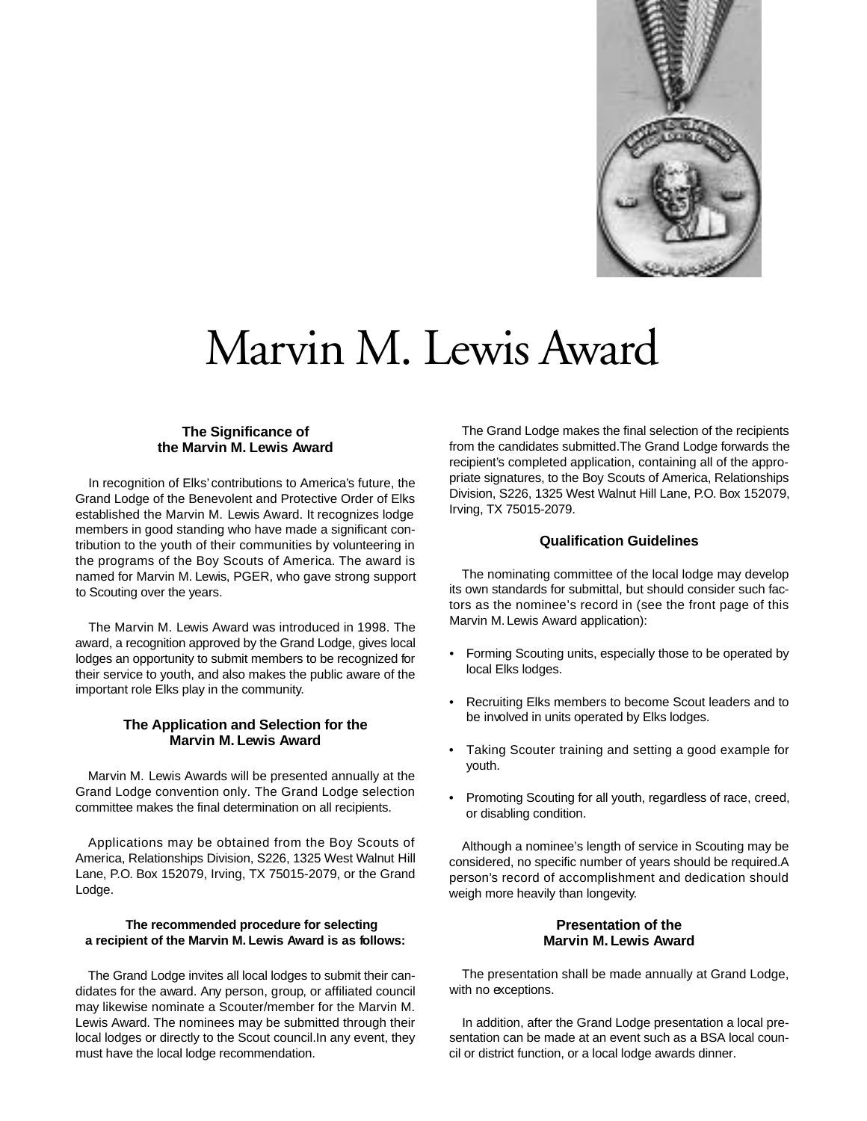

# Marvin M. Lewis Award

# **The Significance of the Marvin M. Lewis Award**

In recognition of Elks' contributions to America's future, the Grand Lodge of the Benevolent and Protective Order of Elks established the Marvin M. Lewis Award. It recognizes lodge members in good standing who have made a significant contribution to the youth of their communities by volunteering in the programs of the Boy Scouts of America. The award is named for Marvin M. Lewis, PGER, who gave strong support to Scouting over the years.

The Marvin M. Lewis Award was introduced in 1998. The award, a recognition approved by the Grand Lodge, gives local lodges an opportunity to submit members to be recognized for their service to youth, and also makes the public aware of the important role Elks play in the community.

#### **The Application and Selection for the Marvin M. Lewis Award**

Marvin M. Lewis Awards will be presented annually at the Grand Lodge convention only. The Grand Lodge selection committee makes the final determination on all recipients.

Applications may be obtained from the Boy Scouts of America, Relationships Division, S226, 1325 West Walnut Hill Lane, P.O. Box 152079, Irving, TX 75015-2079, or the Grand Lodge.

#### **The recommended procedure for selecting**  a recipient of the Marvin M. Lewis Award is as follows:

The Grand Lodge invites all local lodges to submit their candidates for the award. Any person, group, or affiliated council may likewise nominate a Scouter/member for the Marvin M. Lewis Award. The nominees may be submitted through their local lodges or directly to the Scout council.In any event, they must have the local lodge recommendation.

The Grand Lodge makes the final selection of the recipients from the candidates submitted. The Grand Lodge forwards the recipient's completed application, containing all of the approp riate signatures, to the Boy Scouts of America, Relationships Division, S226, 1325 West Walnut Hill Lane, P.O. Box 152079. Irving, TX 75015-2079.

#### **Qualification Guidelines**

The nominating committee of the local lodge may develop its own standards for submittal, but should consider such factors as the nominee's record in (see the front page of this Marvin M. Lewis Award application):

- Forming Scouting units, especially those to be operated by local Elks lodges.
- Recruiting Elks members to become Scout leaders and to be involved in units operated by Elks lodges.
- Taking Scouter training and setting a good example for youth.
- Promoting Scouting for all youth, regardless of race, creed, or disabling condition.

Although a nominee's length of service in Scouting may be considered, no specific number of years should be required.A person's record of accomplishment and dedication should weigh more heavily than longevity.

# **Presentation of the Marvin M. Lewis Award**

The presentation shall be made annually at Grand Lodge, with no exceptions.

In addition, after the Grand Lodge presentation a local presentation can be made at an event such as a BSA local council or district function, or a local lodge awards dinner.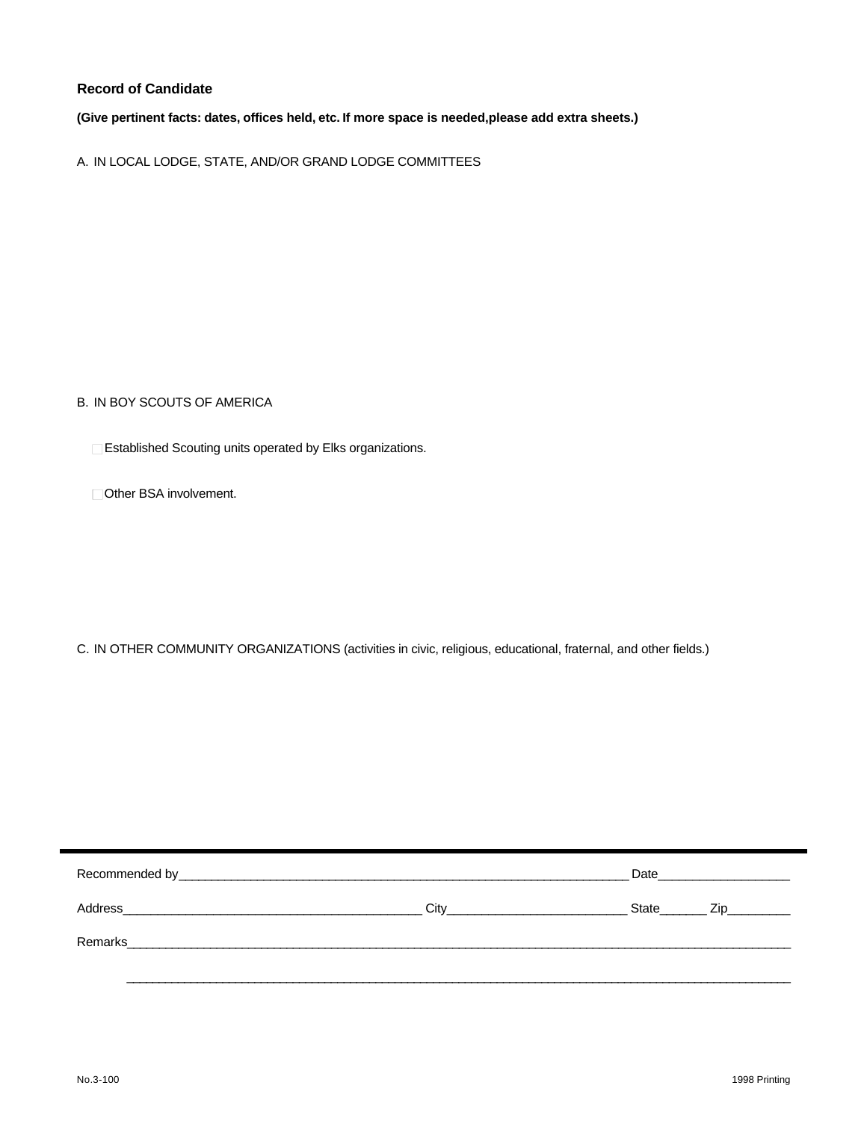# **Record of Candidate**

(Give pertinent facts: dates, offices held, etc. If more space is needed, please add extra sheets.)

A. IN LOCAL LODGE, STATE, AND/OR GRAND LODGE COMMITTEES

B. IN BOY SCOUTS OF AMERICA

 $\square$  Established Scouting units operated by Elks organizations.

 $\Box$  Other BSA involvement.

C. IN OTHER COMMUNITY ORGANIZATIONS (activities in civic, religious, educational, fraternal, and other fields.)

|                                                                                                                                 |      | Date  |                                                                                                                |
|---------------------------------------------------------------------------------------------------------------------------------|------|-------|----------------------------------------------------------------------------------------------------------------|
| Address<br><u> 1989 - Johann John Stone, mars eta bainar eta bainar eta baina eta baina eta baina eta baina eta baina eta b</u> | Citv | State | Zip and the set of the set of the set of the set of the set of the set of the set of the set of the set of the |
| Remarks                                                                                                                         |      |       |                                                                                                                |
|                                                                                                                                 |      |       |                                                                                                                |